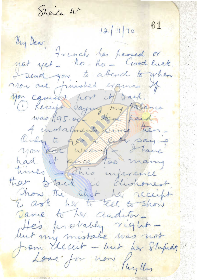Sheila W  $12/1170$  61 My Dear Jrench has passed or not yet. No-No- Good luck. I send you to attend to when non are finished exams\_ If you cannot port it sack. O Receipt Saying my pasance was R95.00- Haut paid 4 instalments pince then\_ Only to get a cute saying times Statis inference that stack is dishonest. Those the shirt her receipt E ask her to tell to show Dame to her auditor-He's probably right from decut - but her Stupidor Lone for now Puylles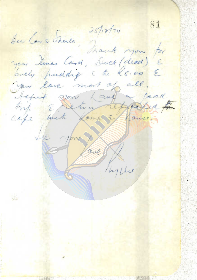81 Des las Stila, Dank you for you lines Card, Duck (dead) E lovely pudding & the K5.00 E you love most of all. taking you hand a lood trip & return referred for cape with forme Effonse. the you p Come Ruplin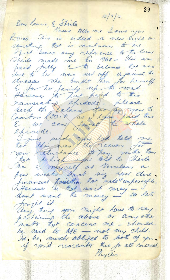29  $15/9/71.$ Dear Kannie, E Sheila Nassie tells me Louve you Kroiso. This is undeed a new light on something that is unknown to me. Wit sears any reference to the loan dresses The bought then for herself Hewene to put paid to this reep the Salance due prom to Cambrie (50. + les deux forces du metalle The I myself at Vernlan a few weeks back viz you dire. financial prosittion that nade timpossible. Hewever se that as it may dont want the money - so lets forget it. any thing you might have to say pertaining the above or any other matte hat concerns me - should be said to ME - not my child. Id, be, much abliged to both of you. Phyllis.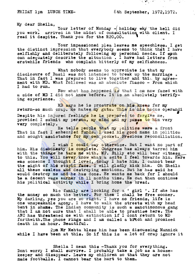FRIDAY  $1$ pm LUNCH TIME-<br> $\&$  th September, 1972,1972.

人名兰

• <

My dear Sheila,

Your letter of Monday  $-$  holiday why the hell did you work, arrived in the midst of consultation with client. I read it despite. Thank you for the R20,00.

Your impassioned plea leaves me speechless. I get<br>the distinct impression that everybody seems to think that I have selfishly and deliberately following my personal needs. If such can adequately describe the situation. I have had letters from erstwhile friends who complain bitterly of my selfishness.

What nobody seems to appreciate is that my disclosure of Basil was not intended to break up the marriage. That in fact I was prepared to live together and this by agreement with MD. What followed was an absolute fiasco - From which I had to run.

Now what has happened is that I am now faced with a side of MD I did not know before. It is an absolutely terrify-<br>ing experience.

MD says he is prostrate on his knees for my return-so much crap. He hates my guts. This is his modus operandi return-so much crap. He hates my guts. This is his modus operandi<br>Despite his injured feelings he is prepared to forgive me, provided I submit my person, my mind and my pusse to him very very completely.

He tells people that my politics were a front That in fact I embezzled funds. I used his good name in politics and sought assistance for my own pocket. Precious reconciliation.

I wish I could say otherwise. But I want no part of him. His dishonesty is complete. Congress has always tarred him with the things he tars me with. MP. Billy etc will bear witness to this. You will never know what a scits I feel towards him. Here was someone I thought I loved, today I hate him. I cannot bear the sight of his stupid face. I will gladly kick him. Oh Sheila all these useless and destroying emotions. But he has said he would destroy me and he has done. He wants me back for I should be a deoent wage earner in *11* months time. He can then continue his politioal activity while I bring home the bread.

His family are looking for a ' girl '. If she has the money so much the better. For them I shall be free sooner. My darling, yes you are so right. I have no friends, life is one unspeakable agony. I have to walk the streets with my head bent in shame. The Indian community is such a sanctimonous gang that I am not sure that I shall be able to practise here. The that I am not sure that I shall be able to practise here. The ANC has threatened me with extinction if I dont return to MD forthwith.The phone rings and I am called a bitch and promised death in an hour. Beautiful.

2pm Mr Mehta bless him has been disoussing Munniok while I have been at this. So if this is a lot of crap ignore it

Sheila I mean this -Thank you for everything. Dont worry I shall survive. I probably take a job as a housekeeper and disappear. Leave my children so that they are not made footballs. I cannot bear the hurt to them.